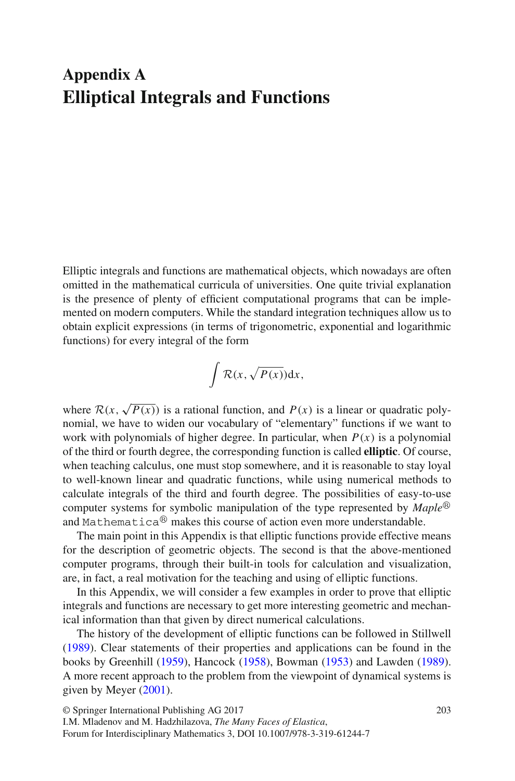## **Appendix A Elliptical Integrals and Functions**

Elliptic integrals and functions are mathematical objects, which nowadays are often omitted in the mathematical curricula of universities. One quite trivial explanation is the presence of plenty of efficient computational programs that can be implemented on modern computers. While the standard integration techniques allow us to obtain explicit expressions (in terms of trigonometric, exponential and logarithmic functions) for every integral of the form

$$
\int \mathcal{R}(x,\sqrt{P(x)})\mathrm{d}x,
$$

where  $\mathcal{R}(x, \sqrt{P(x)})$  is a rational function, and  $P(x)$  is a linear or quadratic polynomial, we have to widen our vocabulary of "elementary" functions if we want to work with polynomials of higher degree. In particular, when  $P(x)$  is a polynomial of the third or fourth degree, the corresponding function is called **elliptic**. Of course, when teaching calculus, one must stop somewhere, and it is reasonable to stay loyal to well-known linear and quadratic functions, while using numerical methods to calculate integrals of the third and fourth degree. The possibilities of easy-to-use computer systems for symbolic manipulation of the type represented by *Maple* and Mathematica $^{\circledR}$  makes this course of action even more understandable.

The main point in this Appendix is that elliptic functions provide effective means for the description of geometric objects. The second is that the above-mentioned computer programs, through their built-in tools for calculation and visualization, are, in fact, a real motivation for the teaching and using of elliptic functions.

In this Appendix, we will consider a few examples in order to prove that elliptic integrals and functions are necessary to get more interesting geometric and mechanical information than that given by direct numerical calculations.

The history of the development of elliptic functions can be followed in Stillwell (1989). Clear statements of their properties and applications can be found in the books by Greenhill (1959), Hancock (1958), Bowman (1953) and Lawden (1989). A more recent approach to the problem from the viewpoint of dynamical systems is given by Meyer (2001).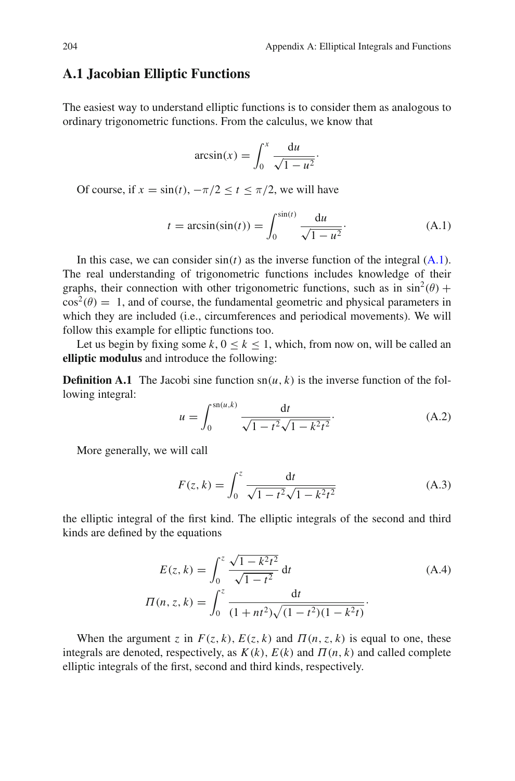## **A.1 Jacobian Elliptic Functions**

The easiest way to understand elliptic functions is to consider them as analogous to ordinary trigonometric functions. From the calculus, we know that

$$
\arcsin(x) = \int_0^x \frac{\mathrm{d}u}{\sqrt{1 - u^2}}.
$$

Of course, if  $x = \sin(t)$ ,  $-\pi/2 \le t \le \pi/2$ , we will have

$$
t = \arcsin(\sin(t)) = \int_0^{\sin(t)} \frac{\mathrm{d}u}{\sqrt{1 - u^2}}.
$$
 (A.1)

In this case, we can consider  $sin(t)$  as the inverse function of the integral  $(A.1)$ . The real understanding of trigonometric functions includes knowledge of their graphs, their connection with other trigonometric functions, such as in  $\sin^2(\theta)$  +  $\cos^2(\theta) = 1$ , and of course, the fundamental geometric and physical parameters in which they are included (i.e., circumferences and periodical movements). We will follow this example for elliptic functions too.

Let us begin by fixing some  $k, 0 \le k \le 1$ , which, from now on, will be called an **elliptic modulus** and introduce the following:

**Definition A.1** The Jacobi sine function  $\text{sn}(u, k)$  is the inverse function of the following integral:

$$
u = \int_0^{\sin(u,k)} \frac{\mathrm{d}t}{\sqrt{1 - t^2} \sqrt{1 - k^2 t^2}}.
$$
 (A.2)

More generally, we will call

$$
F(z,k) = \int_0^z \frac{dt}{\sqrt{1 - t^2}\sqrt{1 - k^2 t^2}}
$$
 (A.3)

the elliptic integral of the first kind. The elliptic integrals of the second and third kinds are defined by the equations

$$
E(z, k) = \int_0^z \frac{\sqrt{1 - k^2 t^2}}{\sqrt{1 - t^2}} dt
$$
\n
$$
\Pi(n, z, k) = \int_0^z \frac{dt}{(1 + nt^2)\sqrt{(1 - t^2)(1 - k^2 t)}}.
$$
\n(A.4)

When the argument *z* in  $F(z, k)$ ,  $E(z, k)$  and  $\Pi(n, z, k)$  is equal to one, these integrals are denoted, respectively, as  $K(k)$ ,  $E(k)$  and  $\Pi(n, k)$  and called complete elliptic integrals of the first, second and third kinds, respectively.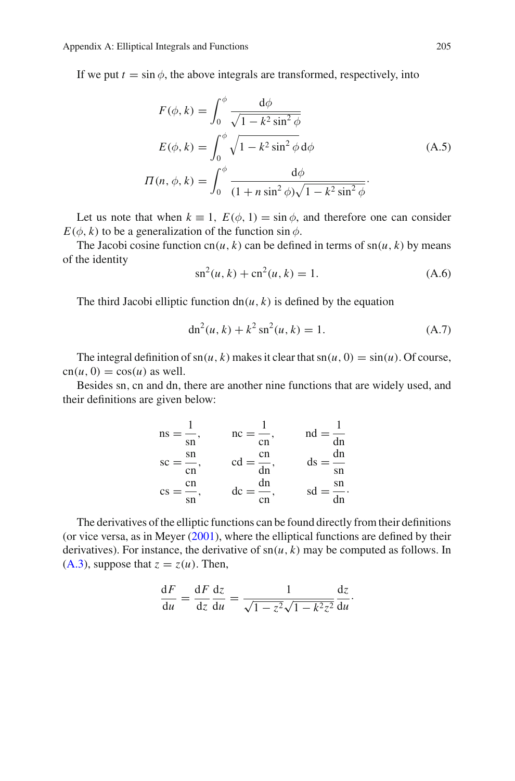If we put  $t = \sin \phi$ , the above integrals are transformed, respectively, into

$$
F(\phi, k) = \int_0^{\phi} \frac{d\phi}{\sqrt{1 - k^2 \sin^2 \phi}}
$$
  
\n
$$
E(\phi, k) = \int_0^{\phi} \sqrt{1 - k^2 \sin^2 \phi} d\phi
$$
  
\n
$$
\Pi(n, \phi, k) = \int_0^{\phi} \frac{d\phi}{(1 + n \sin^2 \phi)\sqrt{1 - k^2 \sin^2 \phi}}.
$$
\n(A.5)

Let us note that when  $k \equiv 1$ ,  $E(\phi, 1) = \sin \phi$ , and therefore one can consider  $E(\phi, k)$  to be a generalization of the function sin  $\phi$ .

The Jacobi cosine function cn(*u*, *k*) can be defined in terms of sn(*u*, *k*) by means of the identity

$$
\operatorname{sn}^2(u,k) + \operatorname{cn}^2(u,k) = 1. \tag{A.6}
$$

The third Jacobi elliptic function  $dn(u, k)$  is defined by the equation

$$
dn^{2}(u, k) + k^{2} sn^{2}(u, k) = 1.
$$
 (A.7)

The integral definition of  $\text{sn}(u, k)$  makes it clear that  $\text{sn}(u, 0) = \text{sin}(u)$ . Of course,  $cn(u, 0) = cos(u)$  as well.

Besides sn, cn and dn, there are another nine functions that are widely used, and their definitions are given below:

$$
ns = \frac{1}{sn}, \quad nc = \frac{1}{cn}, \quad nd = \frac{1}{dn}
$$
  
\n
$$
sc = \frac{sn}{cn}, \quad cd = \frac{cn}{dn}, \quad ds = \frac{dn}{sn}
$$
  
\n
$$
cs = \frac{cn}{sn}, \quad dc = \frac{dn}{cn}, \quad sd = \frac{sn}{dn}.
$$

The derivatives of the elliptic functions can be found directly from their definitions (or vice versa, as in Meyer  $(2001)$ , where the elliptical functions are defined by their derivatives). For instance, the derivative of  $sn(u, k)$  may be computed as follows. In (A.3), suppose that  $z = z(u)$ . Then,

$$
\frac{\mathrm{d}F}{\mathrm{d}u} = \frac{\mathrm{d}F}{\mathrm{d}z}\frac{\mathrm{d}z}{\mathrm{d}u} = \frac{1}{\sqrt{1-z^2}\sqrt{1-k^2z^2}}\frac{\mathrm{d}z}{\mathrm{d}u}.
$$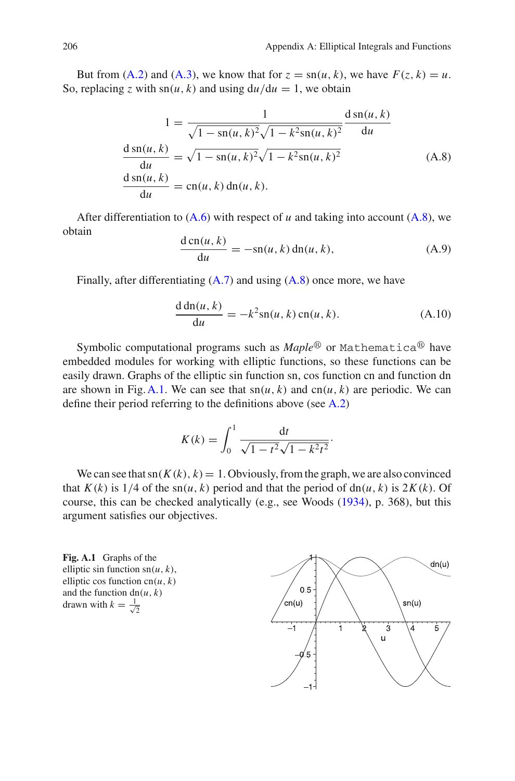But from (A.2) and (A.3), we know that for  $z = \text{sn}(u, k)$ , we have  $F(z, k) = u$ . So, replacing *z* with sn(*u*, *k*) and using  $du/du = 1$ , we obtain

$$
1 = \frac{1}{\sqrt{1 - \text{sn}(u, k)^2} \sqrt{1 - k^2 \text{sn}(u, k)^2}} \frac{d \text{sn}(u, k)}{du}
$$

$$
\frac{d \text{sn}(u, k)}{du} = \sqrt{1 - \text{sn}(u, k)^2} \sqrt{1 - k^2 \text{sn}(u, k)^2}
$$
(A.8)
$$
\frac{d \text{sn}(u, k)}{du} = \text{cn}(u, k) \text{dn}(u, k).
$$

After differentiation to  $(A.6)$  with respect of *u* and taking into account  $(A.8)$ , we obtain

$$
\frac{d \operatorname{cn}(u, k)}{du} = -\operatorname{sn}(u, k) \operatorname{dn}(u, k),\tag{A.9}
$$

Finally, after differentiating  $(A.7)$  and using  $(A.8)$  once more, we have

$$
\frac{d \operatorname{dn}(u, k)}{du} = -k^2 \operatorname{sn}(u, k) \operatorname{cn}(u, k). \tag{A.10}
$$

Symbolic computational programs such as  $\textit{Maple}^{\circledR}$  or  $\texttt{Mathematica}^{\circledR}$  have embedded modules for working with elliptic functions, so these functions can be easily drawn. Graphs of the elliptic sin function sn, cos function cn and function dn are shown in Fig. A.1. We can see that  $\text{sn}(u, k)$  and  $\text{cn}(u, k)$  are periodic. We can define their period referring to the definitions above (see A.2)

$$
K(k) = \int_0^1 \frac{\mathrm{d}t}{\sqrt{1 - t^2} \sqrt{1 - k^2 t^2}}.
$$

We can see that  $\text{sn}(K(k), k) = 1$ . Obviously, from the graph, we are also convinced that  $K(k)$  is 1/4 of the sn(*u*, *k*) period and that the period of dn(*u*, *k*) is 2 $K(k)$ . Of course, this can be checked analytically (e.g., see Woods (1934), p. 368), but this argument satisfies our objectives.

**Fig. A.1** Graphs of the  
elliptic sin function sn(*u*, *k*),  
elliptic cos function cn(*u*, *k*)  
and the function dn(*u*, *k*)  
drawn with 
$$
k = \frac{1}{\sqrt{2}}
$$

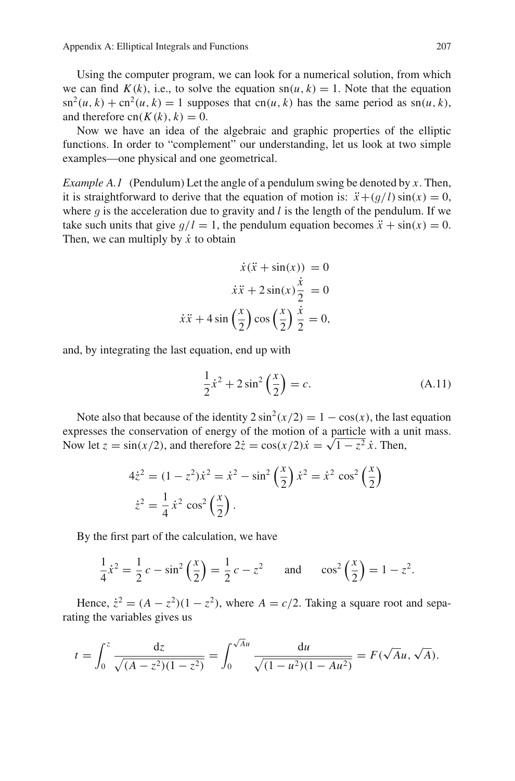Using the computer program, we can look for a numerical solution, from which we can find  $K(k)$ , i.e., to solve the equation  $\text{sn}(u, k) = 1$ . Note that the equation  $\sin^2(u, k) + \text{cn}^2(u, k) = 1$  supposes that  $\text{cn}(u, k)$  has the same period as  $\text{sn}(u, k)$ , and therefore  $cn(K(k), k) = 0$ .

Now we have an idea of the algebraic and graphic properties of the elliptic functions. In order to "complement" our understanding, let us look at two simple examples—one physical and one geometrical.

*Example A.1* (Pendulum) Let the angle of a pendulum swing be denoted by *x*. Then, it is straightforward to derive that the equation of motion is:  $\ddot{x} + (g/l)\sin(x) = 0$ , where  $q$  is the acceleration due to gravity and  $l$  is the length of the pendulum. If we take such units that give  $q/l = 1$ , the pendulum equation becomes  $\ddot{x} + \sin(x) = 0$ . Then, we can multiply by  $\dot{x}$  to obtain

$$
\dot{x}(\ddot{x} + \sin(x)) = 0
$$

$$
\dot{x}\ddot{x} + 2\sin(x)\frac{\dot{x}}{2} = 0
$$

$$
\dot{x}\ddot{x} + 4\sin\left(\frac{x}{2}\right)\cos\left(\frac{x}{2}\right)\frac{\dot{x}}{2} = 0,
$$

and, by integrating the last equation, end up with

$$
\frac{1}{2}\dot{x}^2 + 2\sin^2\left(\frac{x}{2}\right) = c.\tag{A.11}
$$

Note also that because of the identity  $2\sin^2(x/2) = 1 - \cos(x)$ , the last equation expresses the conservation of energy of the motion of a particle with a unit mass. Now let  $z = \sin(x/2)$ , and therefore  $2\dot{z} = \cos(x/2)\dot{x} = \sqrt{1-z^2}\dot{x}$ . Then,

$$
4\dot{z}^2 = (1 - z^2)\dot{x}^2 = \dot{x}^2 - \sin^2\left(\frac{x}{2}\right)\dot{x}^2 = \dot{x}^2\cos^2\left(\frac{x}{2}\right)
$$

$$
\dot{z}^2 = \frac{1}{4}\dot{x}^2\cos^2\left(\frac{x}{2}\right).
$$

By the first part of the calculation, we have

$$
\frac{1}{4}\dot{x}^2 = \frac{1}{2}c - \sin^2\left(\frac{x}{2}\right) = \frac{1}{2}c - z^2 \quad \text{and} \quad \cos^2\left(\frac{x}{2}\right) = 1 - z^2.
$$

Hence,  $\dot{z}^2 = (A - z^2)(1 - z^2)$ , where  $A = c/2$ . Taking a square root and separating the variables gives us

$$
t = \int_0^z \frac{dz}{\sqrt{(A-z^2)(1-z^2)}} = \int_0^{\sqrt{A}u} \frac{du}{\sqrt{(1-u^2)(1-Au^2)}} = F(\sqrt{A}u, \sqrt{A}).
$$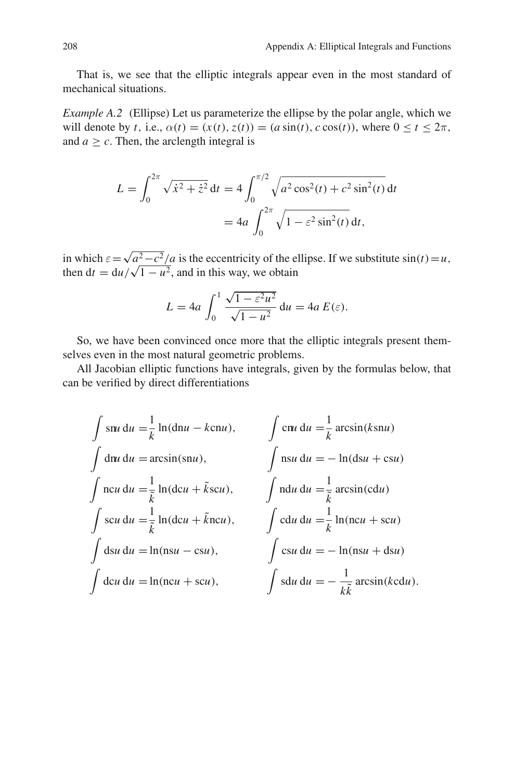That is, we see that the elliptic integrals appear even in the most standard of mechanical situations.

*Example A.2* (Ellipse) Let us parameterize the ellipse by the polar angle, which we will denote by *t*, i.e.,  $\alpha(t) = (x(t), z(t)) = (a \sin(t), c \cos(t))$ , where  $0 \le t \le 2\pi$ , and  $a \geq c$ . Then, the arclength integral is

$$
L = \int_0^{2\pi} \sqrt{\dot{x}^2 + \dot{z}^2} dt = 4 \int_0^{\pi/2} \sqrt{a^2 \cos^2(t) + c^2 \sin^2(t)} dt
$$
  
= 4a  $\int_0^{2\pi} \sqrt{1 - \varepsilon^2 \sin^2(t)} dt$ ,

in which  $\varepsilon = \sqrt{a^2-c^2}/a$  is the eccentricity of the ellipse. If we substitute  $\sin(t) = u$ , then dt =  $du/\sqrt{1-u^2}$ , and in this way, we obtain

$$
L = 4a \int_0^1 \frac{\sqrt{1 - \varepsilon^2 u^2}}{\sqrt{1 - u^2}} du = 4a E(\varepsilon).
$$

So, we have been convinced once more that the elliptic integrals present themselves even in the most natural geometric problems.

All Jacobian elliptic functions have integrals, given by the formulas below, that can be verified by direct differentiations

$$
\int \operatorname{sn} u \, du = \frac{1}{k} \ln(\operatorname{dn} u - k \operatorname{cn} u), \qquad \int \operatorname{cn} u \, du = \frac{1}{k} \arcsin(k \operatorname{sn} u)
$$
\n
$$
\int \operatorname{dn} u \, du = \arcsin(\operatorname{sn} u), \qquad \int \operatorname{ns} u \, du = -\ln(\operatorname{ds} u + \operatorname{cs} u)
$$
\n
$$
\int \operatorname{nc} u \, du = \frac{1}{\tilde{k}} \ln(\operatorname{dc} u + \tilde{k} \operatorname{nc} u), \qquad \int \operatorname{nd} u \, du = \frac{1}{\tilde{k}} \arcsin(\operatorname{cd} u)
$$
\n
$$
\int \operatorname{sc} u \, du = \ln(\operatorname{ns} u - \operatorname{cs} u), \qquad \int \operatorname{cs} u \, du = -\ln(\operatorname{ns} u + \operatorname{ds} u)
$$
\n
$$
\int \operatorname{dc} u \, du = \ln(\operatorname{ns} u - \operatorname{cs} u), \qquad \int \operatorname{cs} u \, du = -\frac{1}{k \tilde{k}} \arcsin(k \operatorname{cd} u).
$$